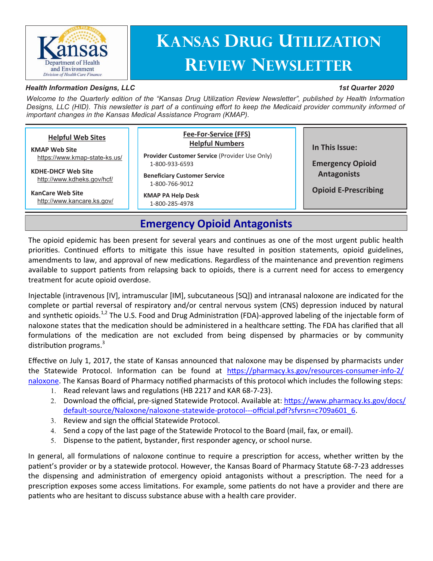

# **Kansas Drug Utilization Review Newsletter**

#### *Health Information Designs, LLC*

#### *1st Quarter 2020*

*Welcome to the Quarterly edition of the "Kansas Drug Utilization Review Newsletter", published by Health Information Designs, LLC (HID). This newsletter is part of a continuing effort to keep the Medicaid provider community informed of important changes in the Kansas Medical Assistance Program (KMAP).*

|--|

## **Emergency Opioid Antagonists**

The opioid epidemic has been present for several years and continues as one of the most urgent public health priorities. Continued efforts to mitigate this issue have resulted in position statements, opioid guidelines, amendments to law, and approval of new medications. Regardless of the maintenance and prevention regimens available to support patients from relapsing back to opioids, there is a current need for access to emergency treatment for acute opioid overdose.

Injectable (intravenous [IV], intramuscular [IM], subcutaneous [SQ]) and intranasal naloxone are indicated for the complete or partial reversal of respiratory and/or central nervous system (CNS) depression induced by natural and synthetic opioids.<sup>1,2</sup> The U.S. Food and Drug Administration (FDA)-approved labeling of the injectable form of naloxone states that the medication should be administered in a healthcare setting. The FDA has clarified that all formulations of the medication are not excluded from being dispensed by pharmacies or by community distribution programs. $3$ 

Effective on July 1, 2017, the state of Kansas announced that naloxone may be dispensed by pharmacists under the Statewide Protocol. Information can be found at [https://pharmacy.ks.gov/resources](https://pharmacy.ks.gov/resources-consumer-info-2/naloxone)-consumer-info-2/ [naloxone.](https://pharmacy.ks.gov/resources-consumer-info-2/naloxone) The Kansas Board of Pharmacy notified pharmacists of this protocol which includes the following steps:

- 1. Read relevant laws and regulations (HB 2217 and KAR 68-7-23).
- Download the official, pre-signed Statewide Protocol. Available at: [https://www.pharmacy.ks.gov/docs/](https://www.pharmacy.ks.gov/docs/default-source/Naloxone/naloxone-statewide-protocol---official.pdf?sfvrsn=c709a601_6) default-source/Naloxone/naloxone-statewide-protocol---[official.pdf?sfvrsn=c709a601\\_6.](https://www.pharmacy.ks.gov/docs/default-source/Naloxone/naloxone-statewide-protocol---official.pdf?sfvrsn=c709a601_6)
- 3. Review and sign the official Statewide Protocol.
- Send a copy of the last page of the Statewide Protocol to the Board (mail, fax, or email).
- Dispense to the patient, bystander, first responder agency, or school nurse.

In general, all formulations of naloxone continue to require a prescription for access, whether written by the patient's provider or by a statewide protocol. However, the Kansas Board of Pharmacy Statute 68-7-23 addresses the dispensing and administration of emergency opioid antagonists without a prescription. The need for a prescription exposes some access limitations. For example, some patients do not have a provider and there are patients who are hesitant to discuss substance abuse with a health care provider.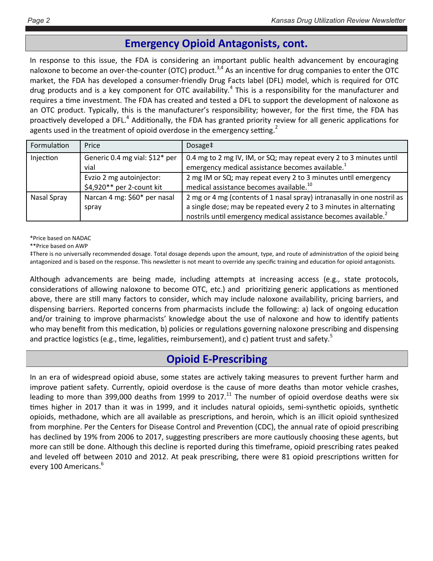## **Emergency Opioid Antagonists, cont.**

In response to this issue, the FDA is considering an important public health advancement by encouraging naloxone to become an over-the-counter (OTC) product.<sup>3,4</sup> As an incentive for drug companies to enter the OTC market, the FDA has developed a consumer-friendly Drug Facts label (DFL) model, which is required for OTC drug products and is a key component for OTC availability.<sup>4</sup> This is a responsibility for the manufacturer and requires a time investment. The FDA has created and tested a DFL to support the development of naloxone as an OTC product. Typically, this is the manufacturer's responsibility; however, for the first time, the FDA has proactively developed a DFL.<sup>4</sup> Additionally, the FDA has granted priority review for all generic applications for agents used in the treatment of opioid overdose in the emergency setting.<sup>2</sup>

| Formulation | Price                                                 | Dosage <sup>‡</sup>                                                                                                                                                                                                          |
|-------------|-------------------------------------------------------|------------------------------------------------------------------------------------------------------------------------------------------------------------------------------------------------------------------------------|
| Injection   | Generic 0.4 mg vial: \$12* per<br>vial                | 0.4 mg to 2 mg IV, IM, or SQ; may repeat every 2 to 3 minutes until<br>emergency medical assistance becomes available. <sup>1</sup>                                                                                          |
|             | Evzio 2 mg autoinjector:<br>\$4,920** per 2-count kit | 2 mg IM or SQ; may repeat every 2 to 3 minutes until emergency<br>medical assistance becomes available. <sup>10</sup>                                                                                                        |
| Nasal Spray | Narcan 4 mg: \$60* per nasal<br>spray                 | 2 mg or 4 mg (contents of 1 nasal spray) intranasally in one nostril as<br>a single dose; may be repeated every 2 to 3 minutes in alternating<br>nostrils until emergency medical assistance becomes available. <sup>2</sup> |

\*Price based on NADAC

\*\*Price based on AWP

‡There is no universally recommended dosage. Total dosage depends upon the amount, type, and route of administration of the opioid being antagonized and is based on the response. This newsletter is not meant to override any specific training and education for opioid antagonists.

Although advancements are being made, including attempts at increasing access (e.g., state protocols, considerations of allowing naloxone to become OTC, etc.) and prioritizing generic applications as mentioned above, there are still many factors to consider, which may include naloxone availability, pricing barriers, and dispensing barriers. Reported concerns from pharmacists include the following: a) lack of ongoing education and/or training to improve pharmacists' knowledge about the use of naloxone and how to identify patients who may benefit from this medication, b) policies or regulations governing naloxone prescribing and dispensing and practice logistics (e.g., time, legalities, reimbursement), and c) patient trust and safety.<sup>5</sup>

## **Opioid E-Prescribing**

In an era of widespread opioid abuse, some states are actively taking measures to prevent further harm and improve patient safety. Currently, opioid overdose is the cause of more deaths than motor vehicle crashes, leading to more than 399,000 deaths from 1999 to 2017.<sup>11</sup> The number of opioid overdose deaths were six times higher in 2017 than it was in 1999, and it includes natural opioids, semi-synthetic opioids, synthetic opioids, methadone, which are all available as prescriptions, and heroin, which is an illicit opioid synthesized from morphine. Per the Centers for Disease Control and Prevention (CDC), the annual rate of opioid prescribing has declined by 19% from 2006 to 2017, suggesting prescribers are more cautiously choosing these agents, but more can still be done. Although this decline is reported during this timeframe, opioid prescribing rates peaked and leveled off between 2010 and 2012. At peak prescribing, there were 81 opioid prescriptions written for every 100 Americans.<sup>6</sup>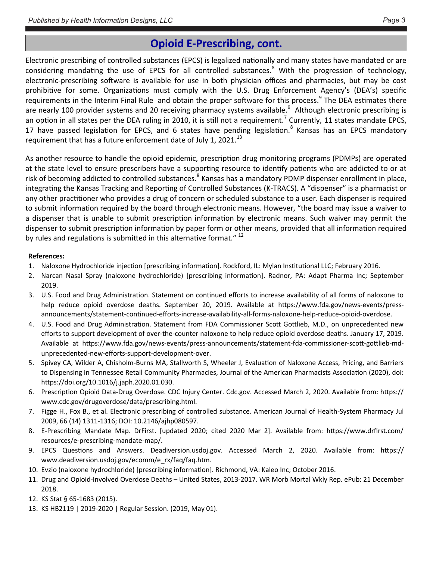## **Opioid E-Prescribing, cont.**

Electronic prescribing of controlled substances (EPCS) is legalized nationally and many states have mandated or are considering mandating the use of EPCS for all controlled substances.<sup>8</sup> With the progression of technology, electronic-prescribing software is available for use in both physician offices and pharmacies, but may be cost prohibitive for some. Organizations must comply with the U.S. Drug Enforcement Agency's (DEA's) specific requirements in the Interim Final Rule and obtain the proper software for this process.<sup>9</sup> The DEA estimates there are nearly 100 provider systems and 20 receiving pharmacy systems available.<sup>9</sup> Although electronic prescribing is an option in all states per the DEA ruling in 2010, it is still not a requirement.<sup>7</sup> Currently, 11 states mandate EPCS, 17 have passed legislation for EPCS, and 6 states have pending legislation.<sup>8</sup> Kansas has an EPCS mandatory requirement that has a future enforcement date of July 1, 2021.<sup>13</sup>

As another resource to handle the opioid epidemic, prescription drug monitoring programs (PDMPs) are operated at the state level to ensure prescribers have a supporting resource to identify patients who are addicted to or at risk of becoming addicted to controlled substances.<sup>8</sup> Kansas has a mandatory PDMP dispenser enrollment in place, integrating the Kansas Tracking and Reporting of Controlled Substances (K-TRACS). A "dispenser" is a pharmacist or any other practitioner who provides a drug of concern or scheduled substance to a user. Each dispenser is required to submit information required by the board through electronic means. However, "the board may issue a waiver to a dispenser that is unable to submit prescription information by electronic means. Such waiver may permit the dispenser to submit prescription information by paper form or other means, provided that all information required by rules and regulations is submitted in this alternative format."<sup>12</sup>

#### **References:**

- 1. Naloxone Hydrochloride injection [prescribing information]. Rockford, IL: Mylan Institutional LLC; February 2016.
- 2. Narcan Nasal Spray (naloxone hydrochloride) [prescribing information]. Radnor, PA: Adapt Pharma Inc; September 2019.
- 3. U.S. Food and Drug Administration. Statement on continued efforts to increase availability of all forms of naloxone to help reduce opioid overdose deaths. September 20, 2019. Available at https://www.fda.gov/news-events/pressannouncements/statement-continued-efforts-increase-availability-all-forms-naloxone-help-reduce-opioid-overdose.
- 4. U.S. Food and Drug Administration. Statement from FDA Commissioner Scott Gottlieb, M.D., on unprecedented new efforts to support development of over-the-counter naloxone to help reduce opioid overdose deaths. January 17, 2019. Available at https://www.fda.gov/news-events/press-announcements/statement-fda-commissioner-scott-gottlieb-mdunprecedented-new-efforts-support-development-over.
- 5. Spivey CA, Wilder A, Chisholm-Burns MA, Stallworth S, Wheeler J, Evaluation of Naloxone Access, Pricing, and Barriers to Dispensing in Tennessee Retail Community Pharmacies, Journal of the American Pharmacists Association (2020), doi: https://doi.org/10.1016/j.japh.2020.01.030.
- 6. Prescription Opioid Data-Drug Overdose. CDC Injury Center. Cdc.gov. Accessed March 2, 2020. Available from: https:// www.cdc.gov/drugoverdose/data/prescribing.html.
- 7. Figge H., Fox B., et al. Electronic prescribing of controlled substance. American Journal of Health-System Pharmacy Jul 2009, 66 (14) 1311-1316; DOI: 10.2146/ajhp080597.
- 8. E-Prescribing Mandate Map. DrFirst. [updated 2020; cited 2020 Mar 2]. Available from: https://www.drfirst.com/ resources/e-prescribing-mandate-map/.
- 9. EPCS Questions and Answers. Deadiversion.usdoj.gov. Accessed March 2, 2020. Available from: https:// www.deadiversion.usdoj.gov/ecomm/e\_rx/faq/faq.htm.
- 10. Evzio (naloxone hydrochloride) [prescribing information]. Richmond, VA: Kaleo Inc; October 2016.
- 11. Drug and Opioid-Involved Overdose Deaths United States, 2013-2017. WR Morb Mortal Wkly Rep. ePub: 21 December 2018.
- 12. KS Stat § 65-1683 (2015).
- 13. KS HB2119 | 2019-2020 | Regular Session. (2019, May 01).